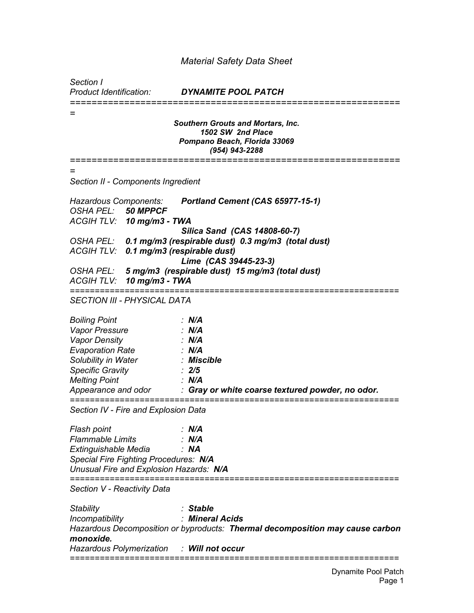## *Material Safety Data Sheet*

*Section I*

*Product Identification: DYNAMITE POOL PATCH ============================================================= = Southern Grouts and Mortars, Inc. 1502 SW 2nd Place Pompano Beach, Florida 33069 (954) 943-2288 ============================================================= = Section II - Components Ingredient Hazardous Components: Portland Cement (CAS 65977-15-1) OSHA PEL: 50 MPPCF ACGIH TLV: 10 mg/m3 - TWA Silica Sand (CAS 14808-60-7) OSHA PEL: 0.1 mg/m3 (respirable dust) 0.3 mg/m3 (total dust) ACGIH TLV: 0.1 mg/m3 (respirable dust) Lime (CAS 39445-23-3) OSHA PEL: 5 mg/m3 (respirable dust) 15 mg/m3 (total dust) ACGIH TLV: 10 mg/m3 - TWA ================================================================== SECTION III - PHYSICAL DATA Boiling Point : N/A Vapor Pressure : N/A Vapor Density : N/A Evaporation Rate : N/A Solubility in Water : Miscible Specific Gravity : 2/5 Melting Point : N/A Appearance and odor : Gray or white coarse textured powder, no odor. ================================================================== Section IV - Fire and Explosion Data Flash point : N/A Flammable Limits : N/A Extinguishable Media : NA Special Fire Fighting Procedures: N/A Unusual Fire and Explosion Hazards: N/A ================================================================== Section V - Reactivity Data Stability : Stable Incompatibility : Mineral Acids Hazardous Decomposition or byproducts: Thermal decomposition may cause carbon monoxide. Hazardous Polymerization : Will not occur ==================================================================*